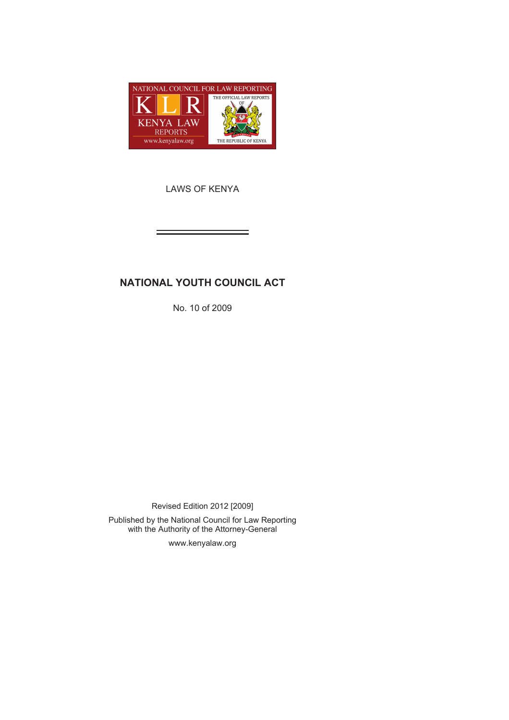

LAWS OF KENYA

# **NATIONAL YOUTH COUNCIL ACT**

No. 10 of 2009

Revised Edition 2012 [2009]

Published by the National Council for Law Reporting with the Authority of the Attorney-General

www.kenyalaw.org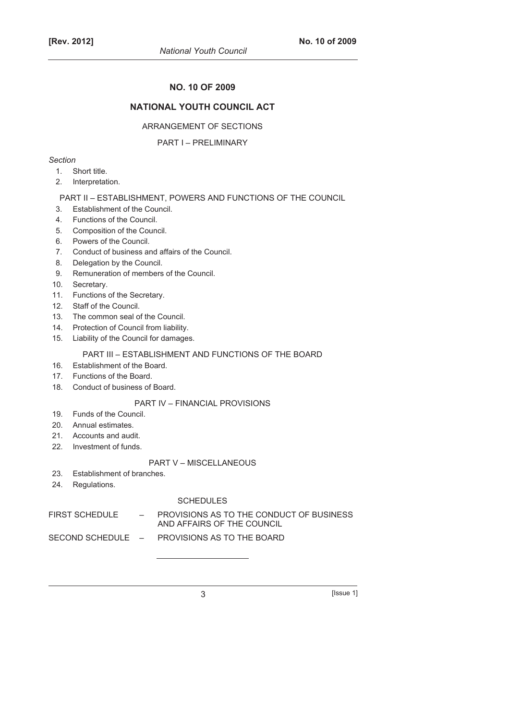# **NO. 10 OF 2009**

# **NATIONAL YOUTH COUNCIL ACT**

#### ARRANGEMENT OF SECTIONS

#### PART I – PRELIMINARY

#### *Section*

- 1. Short title.
- 2. Interpretation.

#### PART II – ESTABLISHMENT, POWERS AND FUNCTIONS OF THE COUNCIL

- 3. Establishment of the Council.
- 4. Functions of the Council.
- 5. Composition of the Council.
- 6. Powers of the Council.
- 7. Conduct of business and affairs of the Council.
- 8. Delegation by the Council.
- 9. Remuneration of members of the Council.
- 10. Secretary.
- 11. Functions of the Secretary.
- 12. Staff of the Council.
- 13. The common seal of the Council.
- 14. Protection of Council from liability.
- 15. Liability of the Council for damages.

### PART III – ESTABLISHMENT AND FUNCTIONS OF THE BOARD

- 16. Establishment of the Board.
- 17. Functions of the Board.
- 18. Conduct of business of Board.

# PART IV – FINANCIAL PROVISIONS

- 19. Funds of the Council.
- 20. Annual estimates.
- 21. Accounts and audit.
- 22. Investment of funds.

#### PART V – MISCELLANEOUS

- 23. Establishment of branches.
- 24. Regulations.

# **SCHEDULES**

FIRST SCHEDULE  $\qquad$  - PROVISIONS AS TO THE CONDUCT OF BUSINESS AND AFFAIRS OF THE COUNCIL

SECOND SCHEDULE – PROVISIONS AS TO THE BOARD

 $3$  [Issue 1]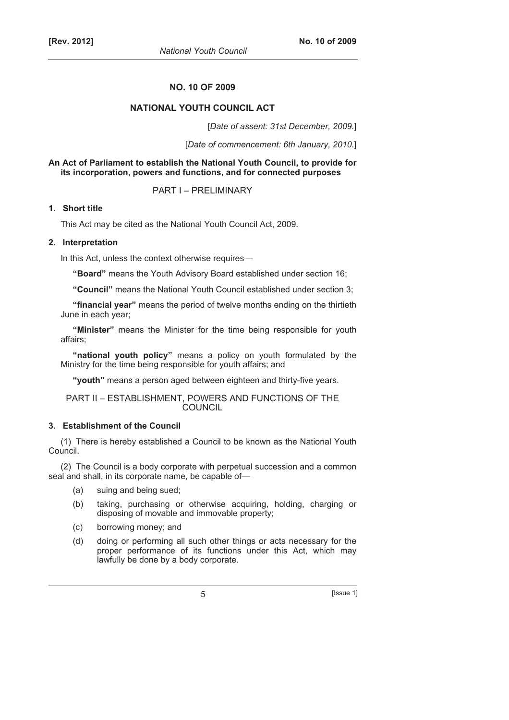### **NO. 10 OF 2009**

# **NATIONAL YOUTH COUNCIL ACT**

[*Date of assent: 31st December, 2009.*]

[*Date of commencement: 6th January, 2010.*]

**An Act of Parliament to establish the National Youth Council, to provide for its incorporation, powers and functions, and for connected purposes** 

PART I – PRELIMINARY

# **1. Short title**

This Act may be cited as the National Youth Council Act, 2009.

#### **2. Interpretation**

In this Act, unless the context otherwise requires—

**"Board"** means the Youth Advisory Board established under section 16;

**"Council"** means the National Youth Council established under section 3;

**"financial year"** means the period of twelve months ending on the thirtieth June in each year;

**"Minister"** means the Minister for the time being responsible for youth affairs;

**"national youth policy"** means a policy on youth formulated by the Ministry for the time being responsible for youth affairs; and

**"youth"** means a person aged between eighteen and thirty-five years.

### PART II – ESTABLISHMENT, POWERS AND FUNCTIONS OF THE **COUNCIL**

### **3. Establishment of the Council**

(1) There is hereby established a Council to be known as the National Youth Council.

(2) The Council is a body corporate with perpetual succession and a common seal and shall, in its corporate name, be capable of—

- (a) suing and being sued;
- (b) taking, purchasing or otherwise acquiring, holding, charging or disposing of movable and immovable property;
- (c) borrowing money; and
- (d) doing or performing all such other things or acts necessary for the proper performance of its functions under this Act, which may lawfully be done by a body corporate.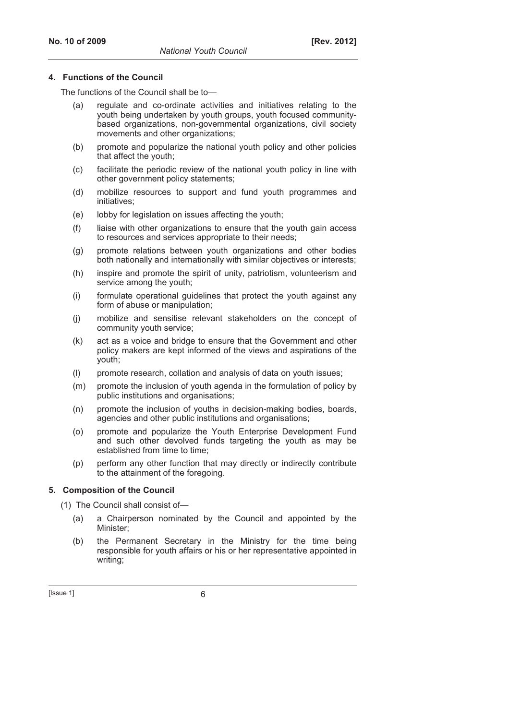#### **4. Functions of the Council**

The functions of the Council shall be to—

- (a) regulate and co-ordinate activities and initiatives relating to the youth being undertaken by youth groups, youth focused communitybased organizations, non-governmental organizations, civil society movements and other organizations;
- (b) promote and popularize the national youth policy and other policies that affect the youth;
- (c) facilitate the periodic review of the national youth policy in line with other government policy statements;
- (d) mobilize resources to support and fund youth programmes and initiatives;
- (e) lobby for legislation on issues affecting the youth;
- (f) liaise with other organizations to ensure that the youth gain access to resources and services appropriate to their needs;
- (g) promote relations between youth organizations and other bodies both nationally and internationally with similar objectives or interests;
- (h) inspire and promote the spirit of unity, patriotism, volunteerism and service among the youth;
- (i) formulate operational guidelines that protect the youth against any form of abuse or manipulation;
- (j) mobilize and sensitise relevant stakeholders on the concept of community youth service;
- (k) act as a voice and bridge to ensure that the Government and other policy makers are kept informed of the views and aspirations of the youth;
- (l) promote research, collation and analysis of data on youth issues;
- (m) promote the inclusion of youth agenda in the formulation of policy by public institutions and organisations;
- (n) promote the inclusion of youths in decision-making bodies, boards, agencies and other public institutions and organisations;
- (o) promote and popularize the Youth Enterprise Development Fund and such other devolved funds targeting the youth as may be established from time to time;
- (p) perform any other function that may directly or indirectly contribute to the attainment of the foregoing.

#### **5. Composition of the Council**

(1) The Council shall consist of—

- (a) a Chairperson nominated by the Council and appointed by the Minister;
- (b) the Permanent Secretary in the Ministry for the time being responsible for youth affairs or his or her representative appointed in writing;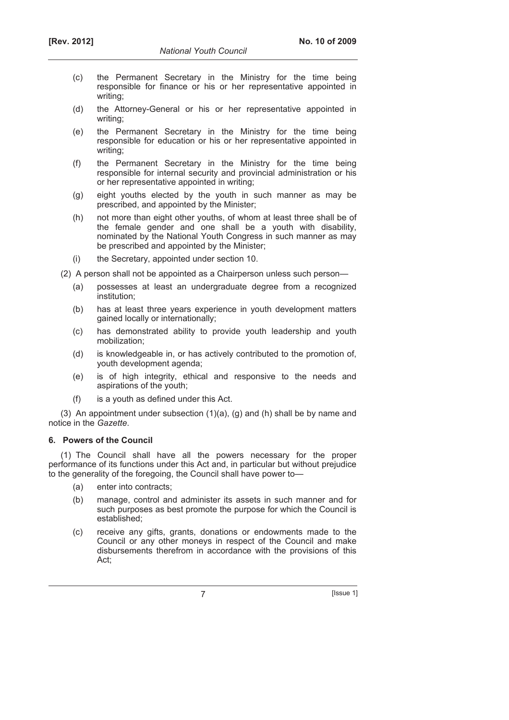- (c) the Permanent Secretary in the Ministry for the time being responsible for finance or his or her representative appointed in writing;
- (d) the Attorney-General or his or her representative appointed in writing;
- (e) the Permanent Secretary in the Ministry for the time being responsible for education or his or her representative appointed in writing;
- (f) the Permanent Secretary in the Ministry for the time being responsible for internal security and provincial administration or his or her representative appointed in writing;
- (g) eight youths elected by the youth in such manner as may be prescribed, and appointed by the Minister;
- (h) not more than eight other youths, of whom at least three shall be of the female gender and one shall be a youth with disability, nominated by the National Youth Congress in such manner as may be prescribed and appointed by the Minister;
- (i) the Secretary, appointed under section 10.

(2) A person shall not be appointed as a Chairperson unless such person—

- (a) possesses at least an undergraduate degree from a recognized institution;
- (b) has at least three years experience in youth development matters gained locally or internationally;
- (c) has demonstrated ability to provide youth leadership and youth mobilization;
- (d) is knowledgeable in, or has actively contributed to the promotion of, youth development agenda;
- (e) is of high integrity, ethical and responsive to the needs and aspirations of the youth;
- (f) is a youth as defined under this Act.

(3) An appointment under subsection (1)(a), (g) and (h) shall be by name and notice in the *Gazette*.

# **6. Powers of the Council**

(1) The Council shall have all the powers necessary for the proper performance of its functions under this Act and, in particular but without prejudice to the generality of the foregoing, the Council shall have power to—

- (a) enter into contracts;
- (b) manage, control and administer its assets in such manner and for such purposes as best promote the purpose for which the Council is established;
- (c) receive any gifts, grants, donations or endowments made to the Council or any other moneys in respect of the Council and make disbursements therefrom in accordance with the provisions of this Act;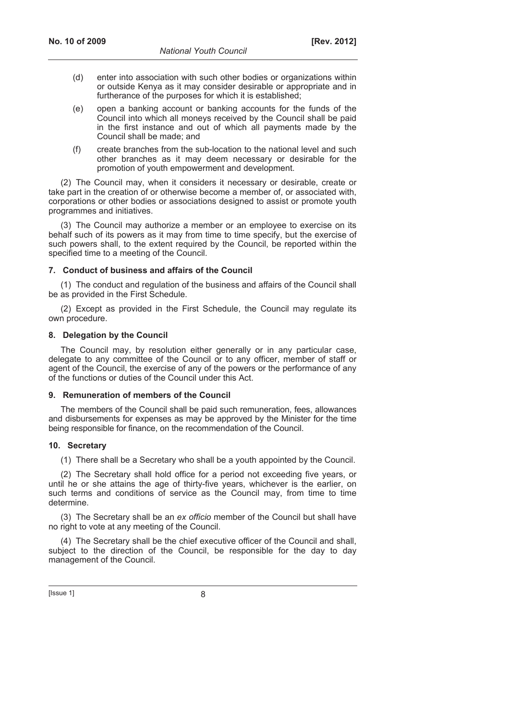- (d) enter into association with such other bodies or organizations within or outside Kenya as it may consider desirable or appropriate and in furtherance of the purposes for which it is established;
- (e) open a banking account or banking accounts for the funds of the Council into which all moneys received by the Council shall be paid in the first instance and out of which all payments made by the Council shall be made; and
- (f) create branches from the sub-location to the national level and such other branches as it may deem necessary or desirable for the promotion of youth empowerment and development.

(2) The Council may, when it considers it necessary or desirable, create or take part in the creation of or otherwise become a member of, or associated with, corporations or other bodies or associations designed to assist or promote youth programmes and initiatives.

(3) The Council may authorize a member or an employee to exercise on its behalf such of its powers as it may from time to time specify, but the exercise of such powers shall, to the extent required by the Council, be reported within the specified time to a meeting of the Council.

#### **7. Conduct of business and affairs of the Council**

(1) The conduct and regulation of the business and affairs of the Council shall be as provided in the First Schedule.

(2) Except as provided in the First Schedule, the Council may regulate its own procedure.

#### **8. Delegation by the Council**

The Council may, by resolution either generally or in any particular case, delegate to any committee of the Council or to any officer, member of staff or agent of the Council, the exercise of any of the powers or the performance of any of the functions or duties of the Council under this Act.

#### **9. Remuneration of members of the Council**

The members of the Council shall be paid such remuneration, fees, allowances and disbursements for expenses as may be approved by the Minister for the time being responsible for finance, on the recommendation of the Council.

#### **10. Secretary**

(1) There shall be a Secretary who shall be a youth appointed by the Council.

(2) The Secretary shall hold office for a period not exceeding five years, or until he or she attains the age of thirty-five years, whichever is the earlier, on such terms and conditions of service as the Council may, from time to time determine.

(3) The Secretary shall be an *ex officio* member of the Council but shall have no right to vote at any meeting of the Council.

(4) The Secretary shall be the chief executive officer of the Council and shall, subject to the direction of the Council, be responsible for the day to day management of the Council.

 $[|$  Issue 1 $|$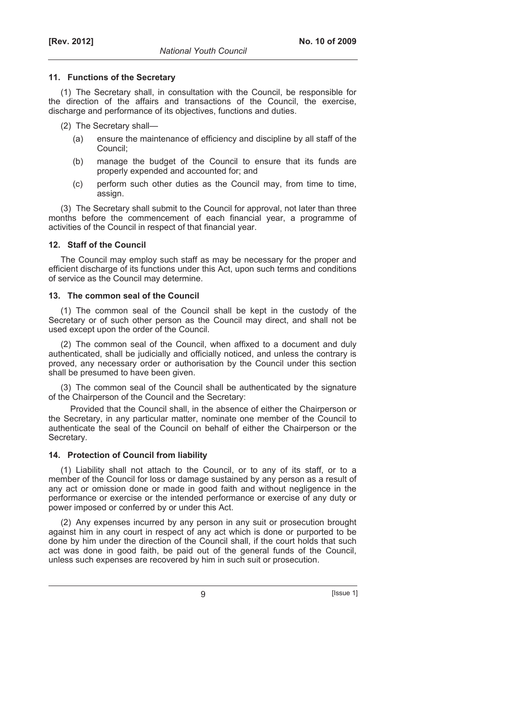#### **11. Functions of the Secretary**

(1) The Secretary shall, in consultation with the Council, be responsible for the direction of the affairs and transactions of the Council, the exercise, discharge and performance of its objectives, functions and duties.

(2) The Secretary shall—

- (a) ensure the maintenance of efficiency and discipline by all staff of the Council;
- (b) manage the budget of the Council to ensure that its funds are properly expended and accounted for; and
- (c) perform such other duties as the Council may, from time to time, assign.

(3) The Secretary shall submit to the Council for approval, not later than three months before the commencement of each financial year, a programme of activities of the Council in respect of that financial year.

### **12. Staff of the Council**

The Council may employ such staff as may be necessary for the proper and efficient discharge of its functions under this Act, upon such terms and conditions of service as the Council may determine.

### **13. The common seal of the Council**

(1) The common seal of the Council shall be kept in the custody of the Secretary or of such other person as the Council may direct, and shall not be used except upon the order of the Council.

(2) The common seal of the Council, when affixed to a document and duly authenticated, shall be judicially and officially noticed, and unless the contrary is proved, any necessary order or authorisation by the Council under this section shall be presumed to have been given.

(3) The common seal of the Council shall be authenticated by the signature of the Chairperson of the Council and the Secretary:

Provided that the Council shall, in the absence of either the Chairperson or the Secretary, in any particular matter, nominate one member of the Council to authenticate the seal of the Council on behalf of either the Chairperson or the Secretary.

# **14. Protection of Council from liability**

(1) Liability shall not attach to the Council, or to any of its staff, or to a member of the Council for loss or damage sustained by any person as a result of any act or omission done or made in good faith and without negligence in the performance or exercise or the intended performance or exercise of any duty or power imposed or conferred by or under this Act.

(2) Any expenses incurred by any person in any suit or prosecution brought against him in any court in respect of any act which is done or purported to be done by him under the direction of the Council shall, if the court holds that such act was done in good faith, be paid out of the general funds of the Council, unless such expenses are recovered by him in such suit or prosecution.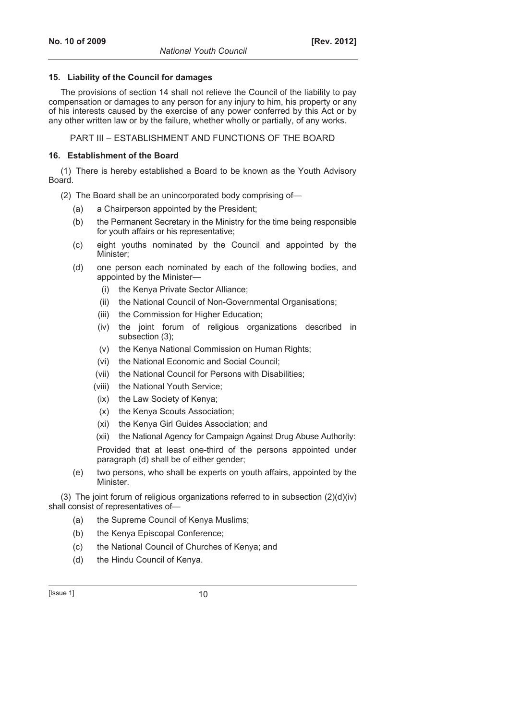#### **15. Liability of the Council for damages**

The provisions of section 14 shall not relieve the Council of the liability to pay compensation or damages to any person for any injury to him, his property or any of his interests caused by the exercise of any power conferred by this Act or by any other written law or by the failure, whether wholly or partially, of any works.

PART III – ESTABLISHMENT AND FUNCTIONS OF THE BOARD

### **16. Establishment of the Board**

(1) There is hereby established a Board to be known as the Youth Advisory Board.

(2) The Board shall be an unincorporated body comprising of—

- (a) a Chairperson appointed by the President;
- (b) the Permanent Secretary in the Ministry for the time being responsible for youth affairs or his representative;
- (c) eight youths nominated by the Council and appointed by the Minister;
- (d) one person each nominated by each of the following bodies, and appointed by the Minister—
	- (i) the Kenya Private Sector Alliance;
	- (ii) the National Council of Non-Governmental Organisations;
	- (iii) the Commission for Higher Education:
	- (iv) the joint forum of religious organizations described in subsection (3);
	- (v) the Kenya National Commission on Human Rights;
	- (vi) the National Economic and Social Council;
	- (vii) the National Council for Persons with Disabilities;
	- (viii) the National Youth Service;
	- (ix) the Law Society of Kenya;
	- (x) the Kenya Scouts Association;
	- (xi) the Kenya Girl Guides Association; and
	- (xii) the National Agency for Campaign Against Drug Abuse Authority:

Provided that at least one-third of the persons appointed under paragraph (d) shall be of either gender;

 (e) two persons, who shall be experts on youth affairs, appointed by the Minister.

(3) The joint forum of religious organizations referred to in subsection (2)(d)(iv) shall consist of representatives of—

- (a) the Supreme Council of Kenya Muslims;
- (b) the Kenya Episcopal Conference;
- (c) the National Council of Churches of Kenya; and
- (d) the Hindu Council of Kenya.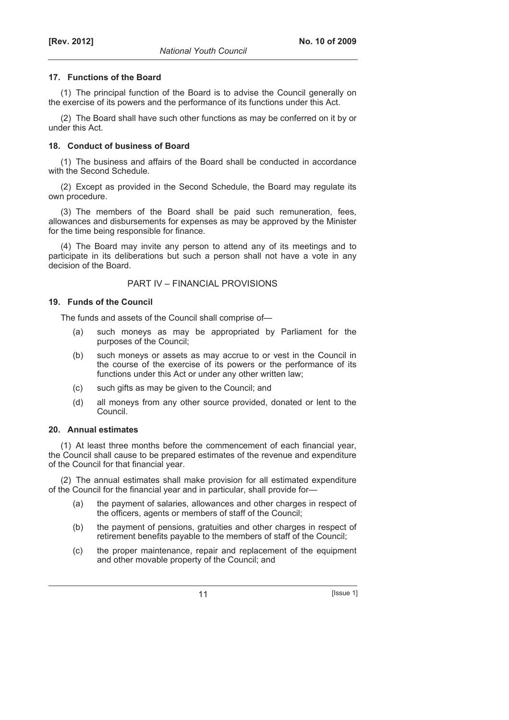#### **17. Functions of the Board**

(1) The principal function of the Board is to advise the Council generally on the exercise of its powers and the performance of its functions under this Act.

(2) The Board shall have such other functions as may be conferred on it by or under this Act.

### **18. Conduct of business of Board**

(1) The business and affairs of the Board shall be conducted in accordance with the Second Schedule.

(2) Except as provided in the Second Schedule, the Board may regulate its own procedure.

(3) The members of the Board shall be paid such remuneration, fees, allowances and disbursements for expenses as may be approved by the Minister for the time being responsible for finance.

(4) The Board may invite any person to attend any of its meetings and to participate in its deliberations but such a person shall not have a vote in any decision of the Board.

# PART IV – FINANCIAL PROVISIONS

### **19. Funds of the Council**

The funds and assets of the Council shall comprise of—

- (a) such moneys as may be appropriated by Parliament for the purposes of the Council;
- (b) such moneys or assets as may accrue to or vest in the Council in the course of the exercise of its powers or the performance of its functions under this Act or under any other written law;
- (c) such gifts as may be given to the Council; and
- (d) all moneys from any other source provided, donated or lent to the Council.

#### **20. Annual estimates**

(1) At least three months before the commencement of each financial year, the Council shall cause to be prepared estimates of the revenue and expenditure of the Council for that financial year.

(2) The annual estimates shall make provision for all estimated expenditure of the Council for the financial year and in particular, shall provide for—

- (a) the payment of salaries, allowances and other charges in respect of the officers, agents or members of staff of the Council;
- (b) the payment of pensions, gratuities and other charges in respect of retirement benefits payable to the members of staff of the Council;
- (c) the proper maintenance, repair and replacement of the equipment and other movable property of the Council; and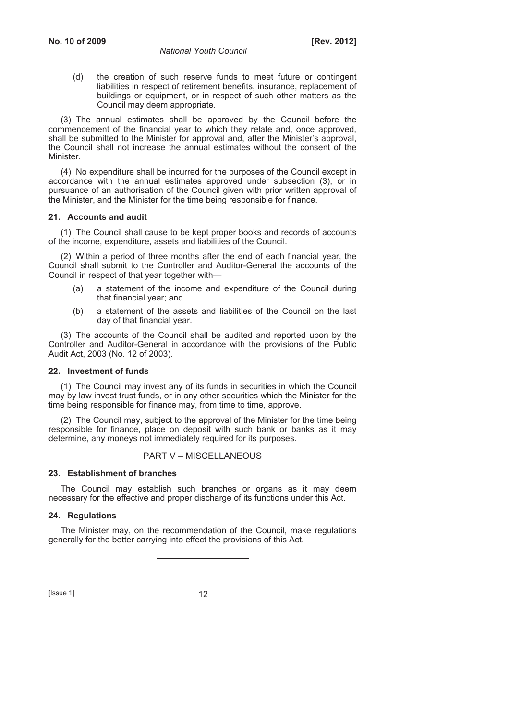(d) the creation of such reserve funds to meet future or contingent liabilities in respect of retirement benefits, insurance, replacement of buildings or equipment, or in respect of such other matters as the Council may deem appropriate.

(3) The annual estimates shall be approved by the Council before the commencement of the financial year to which they relate and, once approved, shall be submitted to the Minister for approval and, after the Minister's approval, the Council shall not increase the annual estimates without the consent of the Minister.

(4) No expenditure shall be incurred for the purposes of the Council except in accordance with the annual estimates approved under subsection (3), or in pursuance of an authorisation of the Council given with prior written approval of the Minister, and the Minister for the time being responsible for finance.

#### **21. Accounts and audit**

(1) The Council shall cause to be kept proper books and records of accounts of the income, expenditure, assets and liabilities of the Council.

(2) Within a period of three months after the end of each financial year, the Council shall submit to the Controller and Auditor-General the accounts of the Council in respect of that year together with—

- (a) a statement of the income and expenditure of the Council during that financial year; and
- (b) a statement of the assets and liabilities of the Council on the last day of that financial year.

(3) The accounts of the Council shall be audited and reported upon by the Controller and Auditor-General in accordance with the provisions of the Public Audit Act, 2003 (No. 12 of 2003).

#### **22. Investment of funds**

(1) The Council may invest any of its funds in securities in which the Council may by law invest trust funds, or in any other securities which the Minister for the time being responsible for finance may, from time to time, approve.

(2) The Council may, subject to the approval of the Minister for the time being responsible for finance, place on deposit with such bank or banks as it may determine, any moneys not immediately required for its purposes.

### PART V – MISCELLANEOUS

#### **23. Establishment of branches**

The Council may establish such branches or organs as it may deem necessary for the effective and proper discharge of its functions under this Act.

#### **24. Regulations**

The Minister may, on the recommendation of the Council, make regulations generally for the better carrying into effect the provisions of this Act.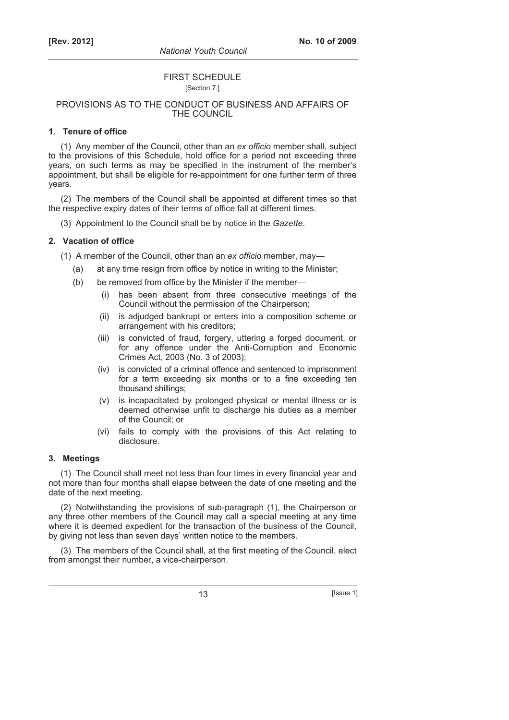#### FIRST SCHEDULE [Section 7.]

### PROVISIONS AS TO THE CONDUCT OF BUSINESS AND AFFAIRS OF THE COUNCIL

### **1. Tenure of office**

(1) Any member of the Council, other than an *ex officio* member shall, subject to the provisions of this Schedule, hold office for a period not exceeding three years, on such terms as may be specified in the instrument of the member's appointment, but shall be eligible for re-appointment for one further term of three years.

(2) The members of the Council shall be appointed at different times so that the respective expiry dates of their terms of office fall at different times.

(3) Appointment to the Council shall be by notice in the *Gazette*.

# **2. Vacation of office**

(1) A member of the Council, other than an *ex officio* member, may—

- (a) at any time resign from office by notice in writing to the Minister;
- (b) be removed from office by the Minister if the member—
	- (i) has been absent from three consecutive meetings of the Council without the permission of the Chairperson;
	- (ii) is adjudged bankrupt or enters into a composition scheme or arrangement with his creditors;
	- (iii) is convicted of fraud, forgery, uttering a forged document, or for any offence under the Anti-Corruption and Economic Crimes Act, 2003 (No. 3 of 2003);
	- (iv) is convicted of a criminal offence and sentenced to imprisonment for a term exceeding six months or to a fine exceeding ten thousand shillings;
	- (v) is incapacitated by prolonged physical or mental illness or is deemed otherwise unfit to discharge his duties as a member of the Council; or
	- (vi) fails to comply with the provisions of this Act relating to disclosure.

#### **3. Meetings**

(1) The Council shall meet not less than four times in every financial year and not more than four months shall elapse between the date of one meeting and the date of the next meeting.

(2) Notwithstanding the provisions of sub-paragraph (1), the Chairperson or any three other members of the Council may call a special meeting at any time where it is deemed expedient for the transaction of the business of the Council, by giving not less than seven days' written notice to the members.

(3) The members of the Council shall, at the first meeting of the Council, elect from amongst their number, a vice-chairperson.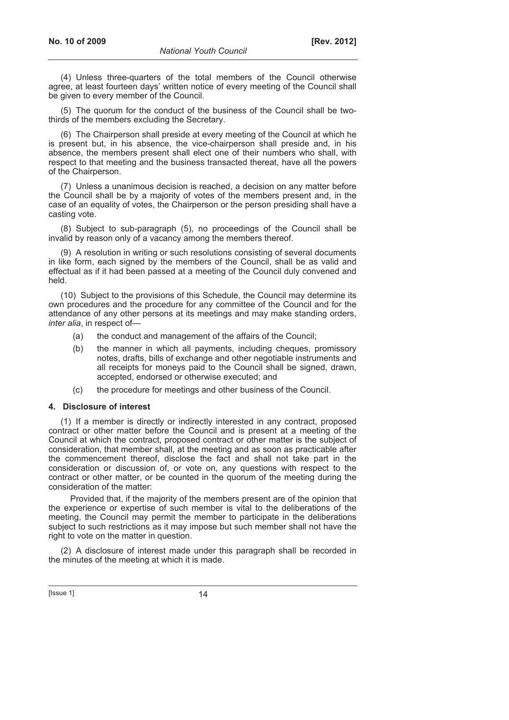(4) Unless three-quarters of the total members of the Council otherwise agree, at least fourteen days' written notice of every meeting of the Council shall be given to every member of the Council.

(5) The quorum for the conduct of the business of the Council shall be twothirds of the members excluding the Secretary.

(6) The Chairperson shall preside at every meeting of the Council at which he is present but, in his absence, the vice-chairperson shall preside and, in his absence, the members present shall elect one of their numbers who shall, with respect to that meeting and the business transacted thereat, have all the powers of the Chairperson.

(7) Unless a unanimous decision is reached, a decision on any matter before the Council shall be by a majority of votes of the members present and, in the case of an equality of votes, the Chairperson or the person presiding shall have a casting vote.

(8) Subject to sub-paragraph (5), no proceedings of the Council shall be invalid by reason only of a vacancy among the members thereof.

(9) A resolution in writing or such resolutions consisting of several documents in like form, each signed by the members of the Council, shall be as valid and effectual as if it had been passed at a meeting of the Council duly convened and held.

(10) Subject to the provisions of this Schedule, the Council may determine its own procedures and the procedure for any committee of the Council and for the attendance of any other persons at its meetings and may make standing orders, *inter alia*, in respect of—

- (a) the conduct and management of the affairs of the Council;
- (b) the manner in which all payments, including cheques, promissory notes, drafts, bills of exchange and other negotiable instruments and all receipts for moneys paid to the Council shall be signed, drawn, accepted, endorsed or otherwise executed; and
- (c) the procedure for meetings and other business of the Council.

### **4. Disclosure of interest**

(1) If a member is directly or indirectly interested in any contract, proposed contract or other matter before the Council and is present at a meeting of the Council at which the contract, proposed contract or other matter is the subject of consideration, that member shall, at the meeting and as soon as practicable after the commencement thereof, disclose the fact and shall not take part in the consideration or discussion of, or vote on, any questions with respect to the contract or other matter, or be counted in the quorum of the meeting during the consideration of the matter:

Provided that, if the majority of the members present are of the opinion that the experience or expertise of such member is vital to the deliberations of the meeting, the Council may permit the member to participate in the deliberations subject to such restrictions as it may impose but such member shall not have the right to vote on the matter in question.

(2) A disclosure of interest made under this paragraph shall be recorded in the minutes of the meeting at which it is made.

 $[|$ Ssue 1 $]$  14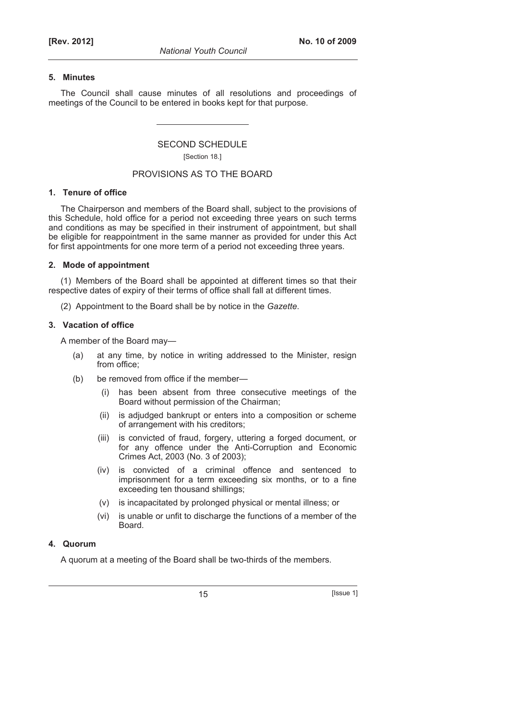#### **5. Minutes**

The Council shall cause minutes of all resolutions and proceedings of meetings of the Council to be entered in books kept for that purpose.

### SECOND SCHEDULE [Section 18.]

#### PROVISIONS AS TO THE BOARD

### **1. Tenure of office**

The Chairperson and members of the Board shall, subject to the provisions of this Schedule, hold office for a period not exceeding three years on such terms and conditions as may be specified in their instrument of appointment, but shall be eligible for reappointment in the same manner as provided for under this Act for first appointments for one more term of a period not exceeding three years.

#### **2. Mode of appointment**

(1) Members of the Board shall be appointed at different times so that their respective dates of expiry of their terms of office shall fall at different times.

(2) Appointment to the Board shall be by notice in the *Gazette*.

#### **3. Vacation of office**

A member of the Board may—

- (a) at any time, by notice in writing addressed to the Minister, resign from office;
- (b) be removed from office if the member—
	- (i) has been absent from three consecutive meetings of the Board without permission of the Chairman;
	- (ii) is adjudged bankrupt or enters into a composition or scheme of arrangement with his creditors;
	- (iii) is convicted of fraud, forgery, uttering a forged document, or for any offence under the Anti-Corruption and Economic Crimes Act, 2003 (No. 3 of 2003);
	- (iv) is convicted of a criminal offence and sentenced to imprisonment for a term exceeding six months, or to a fine exceeding ten thousand shillings;
	- (v) is incapacitated by prolonged physical or mental illness; or
	- (vi) is unable or unfit to discharge the functions of a member of the Board.

# **4. Quorum**

A quorum at a meeting of the Board shall be two-thirds of the members.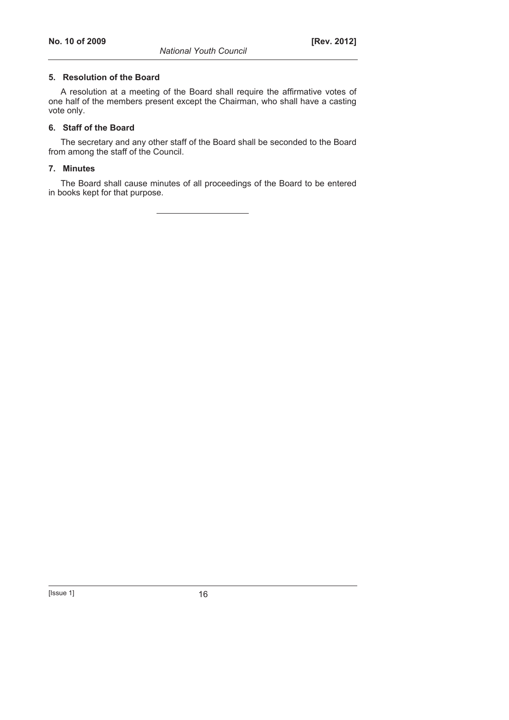#### **5. Resolution of the Board**

A resolution at a meeting of the Board shall require the affirmative votes of one half of the members present except the Chairman, who shall have a casting vote only.

#### **6. Staff of the Board**

The secretary and any other staff of the Board shall be seconded to the Board from among the staff of the Council.

#### **7. Minutes**

The Board shall cause minutes of all proceedings of the Board to be entered in books kept for that purpose.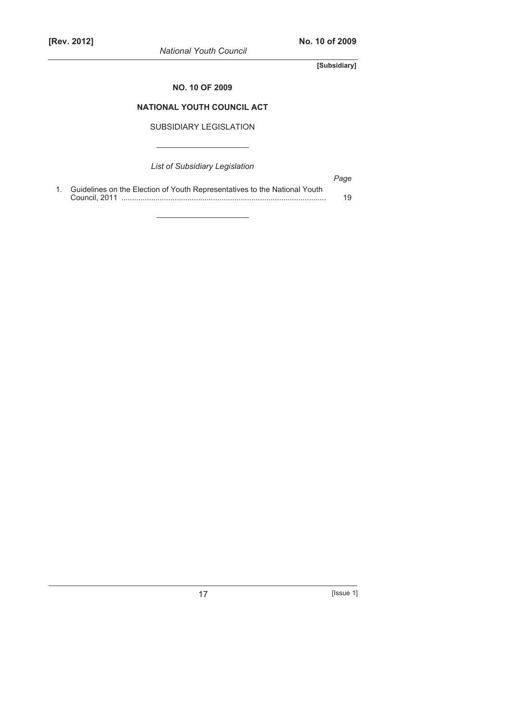*National Youth Council* 

**[Subsidiary]** 

### **NO. 10 OF 2009**

# **NATIONAL YOUTH COUNCIL ACT**

SUBSIDIARY LEGISLATION

*List of Subsidiary Legislation* 

|                                                                              | Page |
|------------------------------------------------------------------------------|------|
| 1. Guidelines on the Election of Youth Representatives to the National Youth |      |
|                                                                              | 19   |

17 **[Issue 1]**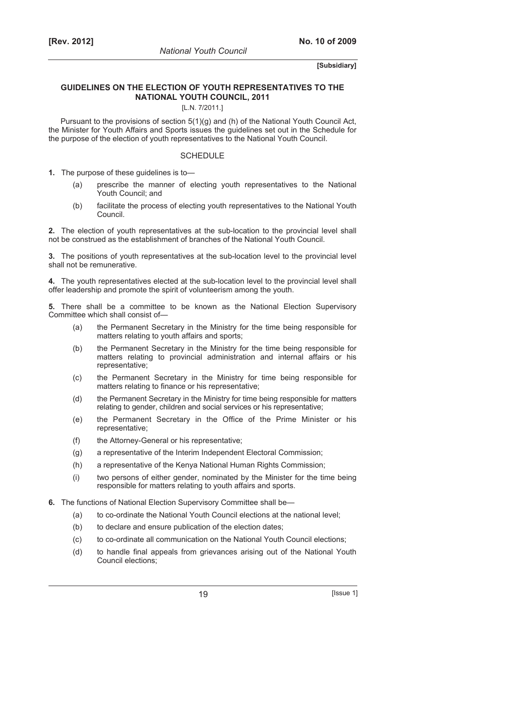#### **GUIDELINES ON THE ELECTION OF YOUTH REPRESENTATIVES TO THE NATIONAL YOUTH COUNCIL, 2011**

#### [L.N. 7/2011.]

Pursuant to the provisions of section 5(1)(g) and (h) of the National Youth Council Act, the Minister for Youth Affairs and Sports issues the guidelines set out in the Schedule for the purpose of the election of youth representatives to the National Youth Council.

#### **SCHEDULE**

**1.** The purpose of these guidelines is to—

- (a) prescribe the manner of electing youth representatives to the National Youth Council; and
- (b) facilitate the process of electing youth representatives to the National Youth Council.

**2.** The election of youth representatives at the sub-location to the provincial level shall not be construed as the establishment of branches of the National Youth Council.

**3.** The positions of youth representatives at the sub-location level to the provincial level shall not be remunerative.

**4.** The youth representatives elected at the sub-location level to the provincial level shall offer leadership and promote the spirit of volunteerism among the youth.

**5.** There shall be a committee to be known as the National Election Supervisory Committee which shall consist of—

- (a) the Permanent Secretary in the Ministry for the time being responsible for matters relating to youth affairs and sports;
- (b) the Permanent Secretary in the Ministry for the time being responsible for matters relating to provincial administration and internal affairs or his representative;
- (c) the Permanent Secretary in the Ministry for time being responsible for matters relating to finance or his representative;
- (d) the Permanent Secretary in the Ministry for time being responsible for matters relating to gender, children and social services or his representative;
- (e) the Permanent Secretary in the Office of the Prime Minister or his representative;
- (f) the Attorney-General or his representative;
- (g) a representative of the Interim Independent Electoral Commission;
- (h) a representative of the Kenya National Human Rights Commission;
- (i) two persons of either gender, nominated by the Minister for the time being responsible for matters relating to youth affairs and sports.
- **6.** The functions of National Election Supervisory Committee shall be—
	- (a) to co-ordinate the National Youth Council elections at the national level;
	- (b) to declare and ensure publication of the election dates;
	- (c) to co-ordinate all communication on the National Youth Council elections;
	- (d) to handle final appeals from grievances arising out of the National Youth Council elections;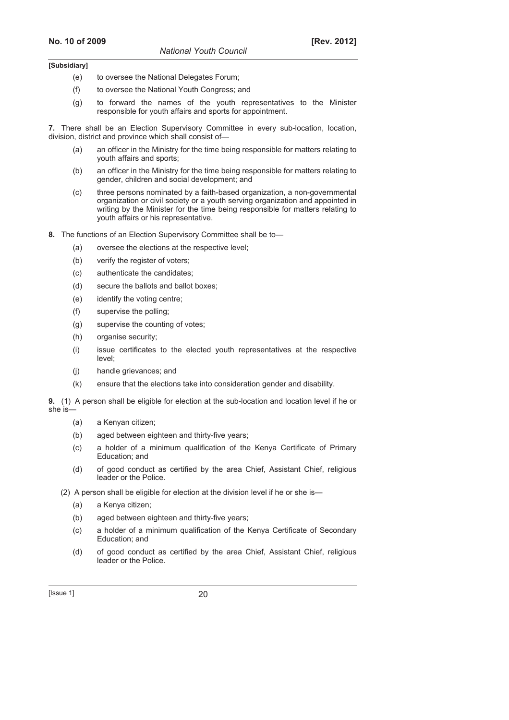- (e) to oversee the National Delegates Forum;
- (f) to oversee the National Youth Congress; and
- (g) to forward the names of the youth representatives to the Minister responsible for youth affairs and sports for appointment.

**7.** There shall be an Election Supervisory Committee in every sub-location, location, division, district and province which shall consist of—

- (a) an officer in the Ministry for the time being responsible for matters relating to youth affairs and sports;
- (b) an officer in the Ministry for the time being responsible for matters relating to gender, children and social development; and
- (c) three persons nominated by a faith-based organization, a non-governmental organization or civil society or a youth serving organization and appointed in writing by the Minister for the time being responsible for matters relating to youth affairs or his representative.
- **8.** The functions of an Election Supervisory Committee shall be to—
	- (a) oversee the elections at the respective level;
	- (b) verify the register of voters;
	- (c) authenticate the candidates;
	- (d) secure the ballots and ballot boxes;
	- (e) identify the voting centre;
	- (f) supervise the polling;
	- (g) supervise the counting of votes;
	- (h) organise security;
	- (i) issue certificates to the elected youth representatives at the respective level;
	- (j) handle grievances; and
	- (k) ensure that the elections take into consideration gender and disability.

**9.** (1) A person shall be eligible for election at the sub-location and location level if he or she is—

- (a) a Kenyan citizen;
- (b) aged between eighteen and thirty-five years;
- (c) a holder of a minimum qualification of the Kenya Certificate of Primary Education; and
- (d) of good conduct as certified by the area Chief, Assistant Chief, religious leader or the Police.
- (2) A person shall be eligible for election at the division level if he or she is—
	- (a) a Kenya citizen;
	- (b) aged between eighteen and thirty-five years;
	- (c) a holder of a minimum qualification of the Kenya Certificate of Secondary Education; and
	- (d) of good conduct as certified by the area Chief, Assistant Chief, religious leader or the Police.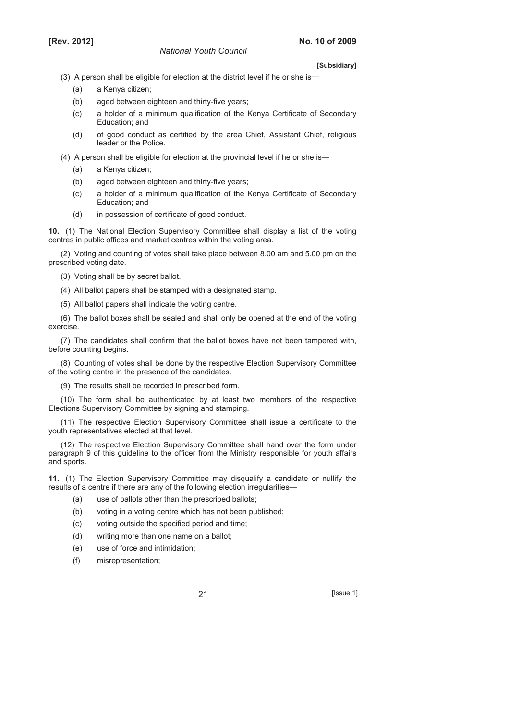- (3) A person shall be eligible for election at the district level if he or she is
	- (a) a Kenya citizen;
	- (b) aged between eighteen and thirty-five years;
	- (c) a holder of a minimum qualification of the Kenya Certificate of Secondary Education; and
	- (d) of good conduct as certified by the area Chief, Assistant Chief, religious leader or the Police.
- (4) A person shall be eligible for election at the provincial level if he or she is—
	- (a) a Kenya citizen;
	- (b) aged between eighteen and thirty-five years;
	- (c) a holder of a minimum qualification of the Kenya Certificate of Secondary Education; and
	- (d) in possession of certificate of good conduct.

**10.** (1) The National Election Supervisory Committee shall display a list of the voting centres in public offices and market centres within the voting area.

(2) Voting and counting of votes shall take place between 8.00 am and 5.00 pm on the prescribed voting date.

- (3) Voting shall be by secret ballot.
- (4) All ballot papers shall be stamped with a designated stamp.
- (5) All ballot papers shall indicate the voting centre.

(6) The ballot boxes shall be sealed and shall only be opened at the end of the voting exercise.

(7) The candidates shall confirm that the ballot boxes have not been tampered with, before counting begins.

(8) Counting of votes shall be done by the respective Election Supervisory Committee of the voting centre in the presence of the candidates.

(9) The results shall be recorded in prescribed form.

(10) The form shall be authenticated by at least two members of the respective Elections Supervisory Committee by signing and stamping.

(11) The respective Election Supervisory Committee shall issue a certificate to the youth representatives elected at that level.

(12) The respective Election Supervisory Committee shall hand over the form under paragraph 9 of this guideline to the officer from the Ministry responsible for youth affairs and sports.

**11.** (1) The Election Supervisory Committee may disqualify a candidate or nullify the results of a centre if there are any of the following election irregularities—

- (a) use of ballots other than the prescribed ballots;
- (b) voting in a voting centre which has not been published;
- (c) voting outside the specified period and time;
- (d) writing more than one name on a ballot;
- (e) use of force and intimidation;
- (f) misrepresentation;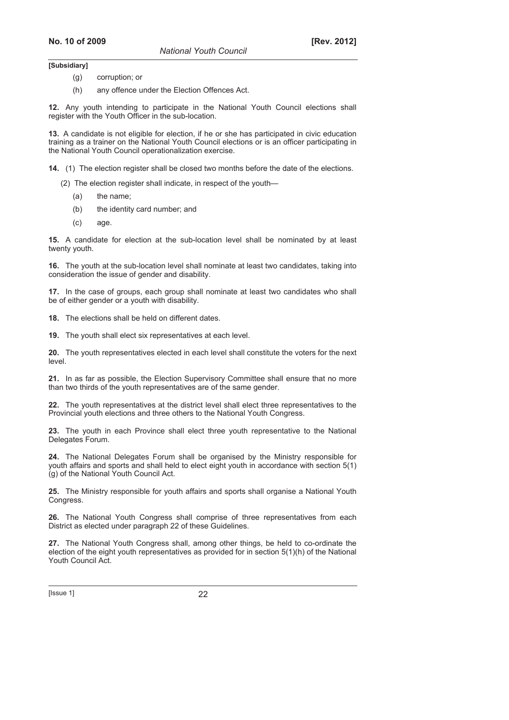*National Youth Council* 

**[Subsidiary]** 

- (g) corruption; or
- (h) any offence under the Election Offences Act.

**12.** Any youth intending to participate in the National Youth Council elections shall register with the Youth Officer in the sub-location.

**13.** A candidate is not eligible for election, if he or she has participated in civic education training as a trainer on the National Youth Council elections or is an officer participating in the National Youth Council operationalization exercise.

**14.** (1) The election register shall be closed two months before the date of the elections.

(2) The election register shall indicate, in respect of the youth—

- (a) the name;
- (b) the identity card number; and
- (c) age.

**15.** A candidate for election at the sub-location level shall be nominated by at least twenty youth.

**16.** The youth at the sub-location level shall nominate at least two candidates, taking into consideration the issue of gender and disability.

**17.** In the case of groups, each group shall nominate at least two candidates who shall be of either gender or a youth with disability.

**18.** The elections shall be held on different dates.

**19.** The youth shall elect six representatives at each level.

**20.** The youth representatives elected in each level shall constitute the voters for the next level.

**21.** In as far as possible, the Election Supervisory Committee shall ensure that no more than two thirds of the youth representatives are of the same gender.

**22.** The youth representatives at the district level shall elect three representatives to the Provincial youth elections and three others to the National Youth Congress.

**23.** The youth in each Province shall elect three youth representative to the National Delegates Forum.

**24.** The National Delegates Forum shall be organised by the Ministry responsible for youth affairs and sports and shall held to elect eight youth in accordance with section 5(1) (g) of the National Youth Council Act.

**25.** The Ministry responsible for youth affairs and sports shall organise a National Youth Congress.

**26.** The National Youth Congress shall comprise of three representatives from each District as elected under paragraph 22 of these Guidelines.

**27.** The National Youth Congress shall, among other things, be held to co-ordinate the election of the eight youth representatives as provided for in section 5(1)(h) of the National Youth Council Act.

[Issue 1] 22